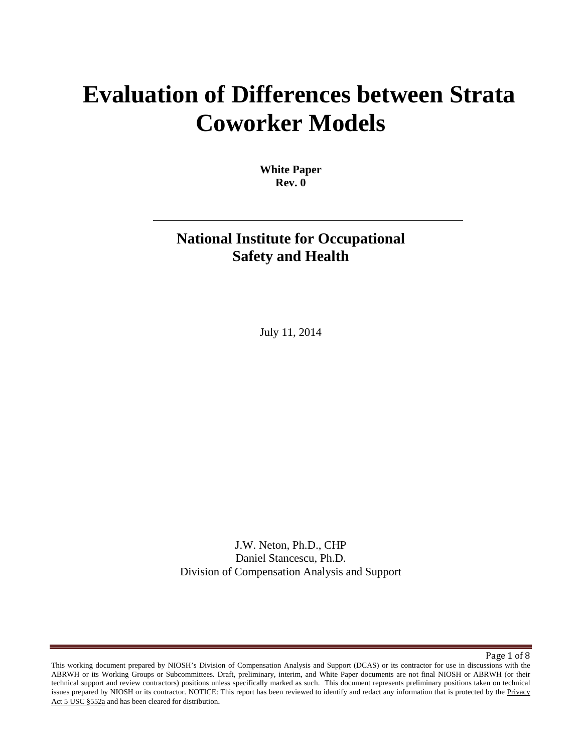# **Evaluation of Differences between Strata Coworker Models**

**White Paper Rev. 0** 

## **National Institute for Occupational Safety and Health**

July 11, 2014

J.W. Neton, Ph.D., CHP Daniel Stancescu, Ph.D. Division of Compensation Analysis and Support

Page 1 of 8

issues prepared by NIOSH or its contractor. NOTICE: This report has been reviewed to identify and redact any information that is protected by the Privacy Act  $5 \overline{ \text{USC} }$  §552a and has been cleared for distribution. This working document prepared by NIOSH's Division of Compensation Analysis and Support (DCAS) or its contractor for use in discussions with the ABRWH or its Working Groups or Subcommittees. Draft, preliminary, interim, and White Paper documents are not final NIOSH or ABRWH (or their technical support and review contractors) positions unless specifically marked as such. This document represents preliminary positions taken on technical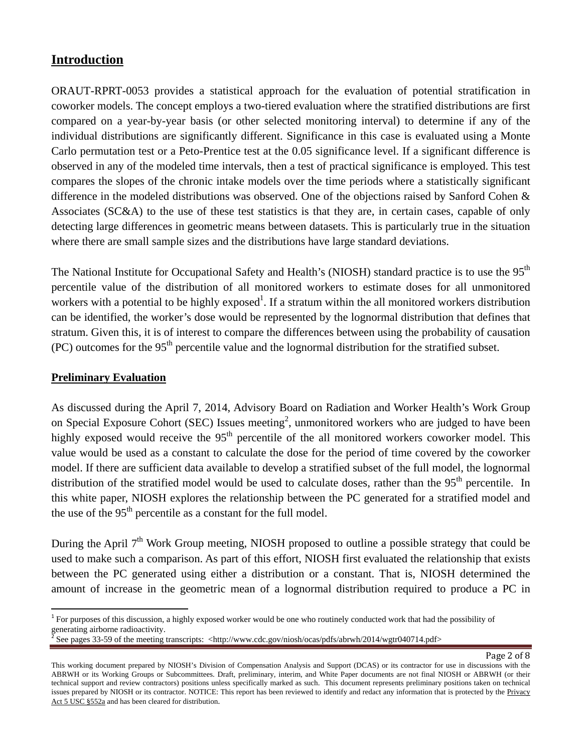### **Introduction**

ORAUT-RPRT-0053 provides a statistical approach for the evaluation of potential stratification in coworker models. The concept employs a two-tiered evaluation where the stratified distributions are first compared on a year-by-year basis (or other selected monitoring interval) to determine if any of the individual distributions are significantly different. Significance in this case is evaluated using a Monte Carlo permutation test or a Peto-Prentice test at the 0.05 significance level. If a significant difference is observed in any of the modeled time intervals, then a test of practical significance is employed. This test compares the slopes of the chronic intake models over the time periods where a statistically significant difference in the modeled distributions was observed. One of the objections raised by Sanford Cohen & Associates (SC&A) to the use of these test statistics is that they are, in certain cases, capable of only detecting large differences in geometric means between datasets. This is particularly true in the situation where there are small sample sizes and the distributions have large standard deviations.

The National Institute for Occupational Safety and Health's (NIOSH) standard practice is to use the 95<sup>th</sup> percentile value of the distribution of all monitored workers to estimate doses for all unmonitored workers with a potential to be highly exposed<sup>1</sup>. If a stratum within the all monitored workers distribution can be identified, the worker's dose would be represented by the lognormal distribution that defines that stratum. Given this, it is of interest to compare the differences between using the probability of causation  $(PC)$  outcomes for the 95<sup>th</sup> percentile value and the lognormal distribution for the stratified subset.

#### **Preliminary Evaluation**

As discussed during the April 7, 2014, Advisory Board on Radiation and Worker Health's Work Group on Special Exposure Cohort (SEC) Issues meeting<sup>2</sup>, unmonitored workers who are judged to have been highly exposed would receive the  $95<sup>th</sup>$  percentile of the all monitored workers coworker model. This value would be used as a constant to calculate the dose for the period of time covered by the coworker model. If there are sufficient data available to develop a stratified subset of the full model, the lognormal distribution of the stratified model would be used to calculate doses, rather than the 95<sup>th</sup> percentile. In this white paper, NIOSH explores the relationship between the PC generated for a stratified model and the use of the 95<sup>th</sup> percentile as a constant for the full model.

During the April  $7<sup>th</sup>$  Work Group meeting, NIOSH proposed to outline a possible strategy that could be used to make such a comparison. As part of this effort, NIOSH first evaluated the relationship that exists between the PC generated using either a distribution or a constant. That is, NIOSH determined the amount of increase in the geometric mean of a lognormal distribution required to produce a PC in

 $1$  For purposes of this discussion, a highly exposed worker would be one who routinely conducted work that had the possibility of generating airborne radioactivity.

See pages 33-59 of the meeting transcripts: <http://www.cdc.gov/niosh/ocas/pdfs/abrwh/2014/wgtr040714.pdf>

issues prepared by NIOSH or its contractor. NOTICE: This report has been reviewed to identify and redact any information that is protected by the Privacy Act  $5 \overline{ \text{USC} }$  §552a and has been cleared for distribution. This working document prepared by NIOSH's Division of Compensation Analysis and Support (DCAS) or its contractor for use in discussions with the ABRWH or its Working Groups or Subcommittees. Draft, preliminary, interim, and White Paper documents are not final NIOSH or ABRWH (or their technical support and review contractors) positions unless specifically marked as such. This document represents preliminary positions taken on technical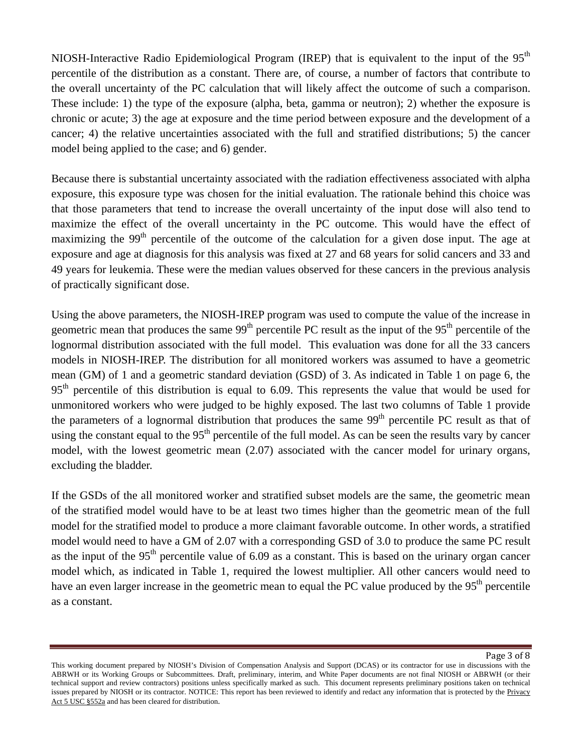the overall uncertainty of the PC calculation that will likely affect the outcome of such a comparison. NIOSH-Interactive Radio Epidemiological Program (IREP) that is equivalent to the input of the 95<sup>th</sup> percentile of the distribution as a constant. There are, of course, a number of factors that contribute to These include: 1) the type of the exposure (alpha, beta, gamma or neutron); 2) whether the exposure is chronic or acute; 3) the age at exposure and the time period between exposure and the development of a cancer; 4) the relative uncertainties associated with the full and stratified distributions; 5) the cancer model being applied to the case; and 6) gender.

Because there is substantial uncertainty associated with the radiation effectiveness associated with alpha exposure, this exposure type was chosen for the initial evaluation. The rationale behind this choice was that those parameters that tend to increase the overall uncertainty of the input dose will also tend to maximize the effect of the overall uncertainty in the PC outcome. This would have the effect of maximizing the  $99<sup>th</sup>$  percentile of the outcome of the calculation for a given dose input. The age at exposure and age at diagnosis for this analysis was fixed at 27 and 68 years for solid cancers and 33 and 49 years for leukemia. These were the median values observed for these cancers in the previous analysis of practically significant dose.

Using the above parameters, the NIOSH-IREP program was used to compute the value of the increase in geometric mean that produces the same 99<sup>th</sup> percentile PC result as the input of the 95<sup>th</sup> percentile of the lognormal distribution associated with the full model. This evaluation was done for all the 33 cancers models in NIOSH-IREP. The distribution for all monitored workers was assumed to have a geometric mean (GM) of 1 and a geometric standard deviation (GSD) of 3. As indicated in Table 1 on page 6, the 95<sup>th</sup> percentile of this distribution is equal to 6.09. This represents the value that would be used for unmonitored workers who were judged to be highly exposed. The last two columns of Table 1 provide the parameters of a lognormal distribution that produces the same 99<sup>th</sup> percentile PC result as that of using the constant equal to the  $95<sup>th</sup>$  percentile of the full model. As can be seen the results vary by cancer model, with the lowest geometric mean (2.07) associated with the cancer model for urinary organs, excluding the bladder.

If the GSDs of the all monitored worker and stratified subset models are the same, the geometric mean of the stratified model would have to be at least two times higher than the geometric mean of the full model for the stratified model to produce a more claimant favorable outcome. In other words, a stratified model would need to have a GM of 2.07 with a corresponding GSD of 3.0 to produce the same PC result as the input of the  $95<sup>th</sup>$  percentile value of 6.09 as a constant. This is based on the urinary organ cancer model which, as indicated in Table 1, required the lowest multiplier. All other cancers would need to have an even larger increase in the geometric mean to equal the PC value produced by the  $95<sup>th</sup>$  percentile as a constant.

issues prepared by NIOSH or its contractor. NOTICE: This report has been reviewed to identify and redact any information that is protected by the Privacy Act  $5 \overline{ \text{USC} }$  §552a and has been cleared for distribution. This working document prepared by NIOSH's Division of Compensation Analysis and Support (DCAS) or its contractor for use in discussions with the ABRWH or its Working Groups or Subcommittees. Draft, preliminary, interim, and White Paper documents are not final NIOSH or ABRWH (or their technical support and review contractors) positions unless specifically marked as such. This document represents preliminary positions taken on technical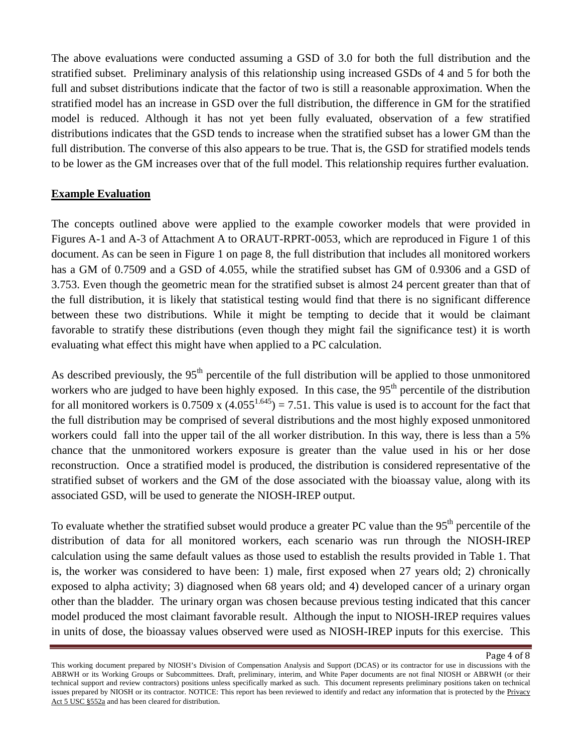The above evaluations were conducted assuming a GSD of 3.0 for both the full distribution and the stratified subset. Preliminary analysis of this relationship using increased GSDs of 4 and 5 for both the full and subset distributions indicate that the factor of two is still a reasonable approximation. When the stratified model has an increase in GSD over the full distribution, the difference in GM for the stratified model is reduced. Although it has not yet been fully evaluated, observation of a few stratified distributions indicates that the GSD tends to increase when the stratified subset has a lower GM than the full distribution. The converse of this also appears to be true. That is, the GSD for stratified models tends to be lower as the GM increases over that of the full model. This relationship requires further evaluation.

#### **Example Evaluation**

The concepts outlined above were applied to the example coworker models that were provided in Figures A-1 and A-3 of Attachment A to ORAUT-RPRT-0053, which are reproduced in Figure 1 of this document. As can be seen in Figure 1 on page 8, the full distribution that includes all monitored workers has a GM of 0.7509 and a GSD of 4.055, while the stratified subset has GM of 0.9306 and a GSD of 3.753. Even though the geometric mean for the stratified subset is almost 24 percent greater than that of the full distribution, it is likely that statistical testing would find that there is no significant difference between these two distributions. While it might be tempting to decide that it would be claimant favorable to stratify these distributions (even though they might fail the significance test) it is worth evaluating what effect this might have when applied to a PC calculation.

As described previously, the 95<sup>th</sup> percentile of the full distribution will be applied to those unmonitored workers who are judged to have been highly exposed. In this case, the  $95<sup>th</sup>$  percentile of the distribution for all monitored workers is 0.7509 x  $(4.055^{1.645}) = 7.51$ . This value is used is to account for the fact that the full distribution may be comprised of several distributions and the most highly exposed unmonitored workers could fall into the upper tail of the all worker distribution. In this way, there is less than a 5% chance that the unmonitored workers exposure is greater than the value used in his or her dose reconstruction. Once a stratified model is produced, the distribution is considered representative of the stratified subset of workers and the GM of the dose associated with the bioassay value, along with its associated GSD, will be used to generate the NIOSH-IREP output.

 other than the bladder. The urinary organ was chosen because previous testing indicated that this cancer To evaluate whether the stratified subset would produce a greater PC value than the 95<sup>th</sup> percentile of the distribution of data for all monitored workers, each scenario was run through the NIOSH-IREP calculation using the same default values as those used to establish the results provided in Table 1. That is, the worker was considered to have been: 1) male, first exposed when 27 years old; 2) chronically exposed to alpha activity; 3) diagnosed when 68 years old; and 4) developed cancer of a urinary organ model produced the most claimant favorable result. Although the input to NIOSH-IREP requires values in units of dose, the bioassay values observed were used as NIOSH-IREP inputs for this exercise. This

issues prepared by NIOSH or its contractor. NOTICE: This report has been reviewed to identify and redact any information that is protected by the Privacy Act  $5 \overline{ \text{USC} }$  §552a and has been cleared for distribution. This working document prepared by NIOSH's Division of Compensation Analysis and Support (DCAS) or its contractor for use in discussions with the ABRWH or its Working Groups or Subcommittees. Draft, preliminary, interim, and White Paper documents are not final NIOSH or ABRWH (or their technical support and review contractors) positions unless specifically marked as such. This document represents preliminary positions taken on technical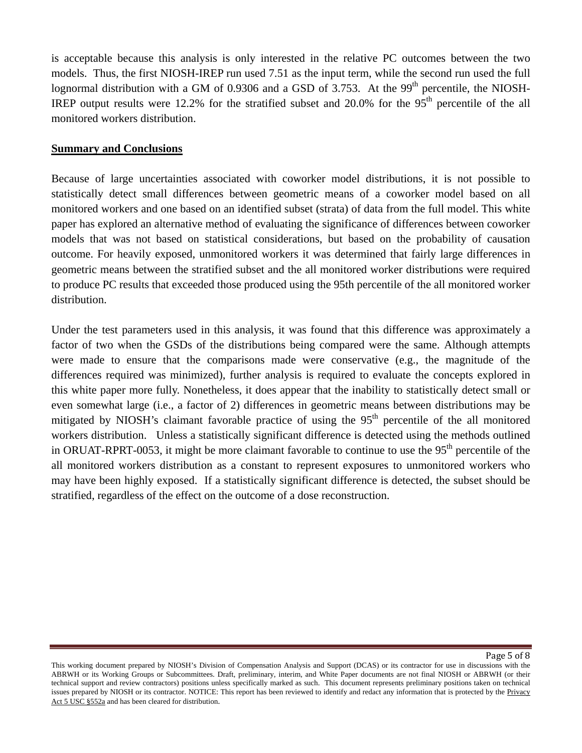is acceptable because this analysis is only interested in the relative PC outcomes between the two models. Thus, the first NIOSH-IREP run used 7.51 as the input term, while the second run used the full lognormal distribution with a GM of 0.9306 and a GSD of 3.753. At the 99<sup>th</sup> percentile, the NIOSH-IREP output results were 12.2% for the stratified subset and  $20.0\%$  for the 95<sup>th</sup> percentile of the all monitored workers distribution.

#### **Summary and Conclusions**

Because of large uncertainties associated with coworker model distributions, it is not possible to statistically detect small differences between geometric means of a coworker model based on all monitored workers and one based on an identified subset (strata) of data from the full model. This white paper has explored an alternative method of evaluating the significance of differences between coworker models that was not based on statistical considerations, but based on the probability of causation outcome. For heavily exposed, unmonitored workers it was determined that fairly large differences in geometric means between the stratified subset and the all monitored worker distributions were required to produce PC results that exceeded those produced using the 95th percentile of the all monitored worker distribution.

Under the test parameters used in this analysis, it was found that this difference was approximately a factor of two when the GSDs of the distributions being compared were the same. Although attempts were made to ensure that the comparisons made were conservative (e.g., the magnitude of the differences required was minimized), further analysis is required to evaluate the concepts explored in this white paper more fully. Nonetheless, it does appear that the inability to statistically detect small or even somewhat large (i.e., a factor of 2) differences in geometric means between distributions may be mitigated by NIOSH's claimant favorable practice of using the 95<sup>th</sup> percentile of the all monitored workers distribution. Unless a statistically significant difference is detected using the methods outlined in ORUAT-RPRT-0053, it might be more claimant favorable to continue to use the 95<sup>th</sup> percentile of the all monitored workers distribution as a constant to represent exposures to unmonitored workers who may have been highly exposed. If a statistically significant difference is detected, the subset should be stratified, regardless of the effect on the outcome of a dose reconstruction.

Page 5 of 8

issues prepared by NIOSH or its contractor. NOTICE: This report has been reviewed to identify and redact any information that is protected by the Privacy Act  $5 \overline{ \text{USC} }$  §552a and has been cleared for distribution. This working document prepared by NIOSH's Division of Compensation Analysis and Support (DCAS) or its contractor for use in discussions with the ABRWH or its Working Groups or Subcommittees. Draft, preliminary, interim, and White Paper documents are not final NIOSH or ABRWH (or their technical support and review contractors) positions unless specifically marked as such. This document represents preliminary positions taken on technical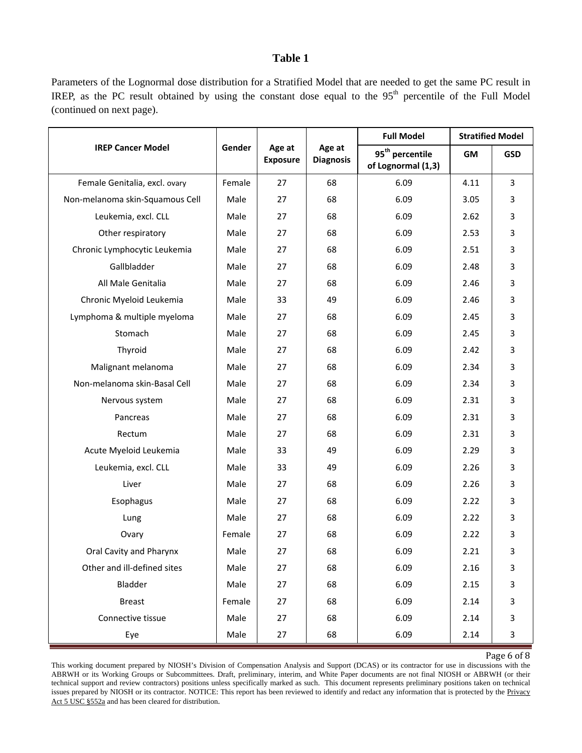#### **Table 1**

Parameters of the Lognormal dose distribution for a Stratified Model that are needed to get the same PC result in IREP, as the PC result obtained by using the constant dose equal to the  $95<sup>th</sup>$  percentile of the Full Model (continued on next page).

| <b>IREP Cancer Model</b>        | Gender | Age at<br><b>Exposure</b> | Age at<br><b>Diagnosis</b> | <b>Full Model</b>                                 | <b>Stratified Model</b> |            |
|---------------------------------|--------|---------------------------|----------------------------|---------------------------------------------------|-------------------------|------------|
|                                 |        |                           |                            | 95 <sup>th</sup> percentile<br>of Lognormal (1,3) | GM                      | <b>GSD</b> |
| Female Genitalia, excl. ovary   | Female | 27                        | 68                         | 6.09                                              | 4.11                    | 3          |
| Non-melanoma skin-Squamous Cell | Male   | 27                        | 68                         | 6.09                                              | 3.05                    | 3          |
| Leukemia, excl. CLL             | Male   | 27                        | 68                         | 6.09                                              | 2.62                    | 3          |
| Other respiratory               | Male   | 27                        | 68                         | 6.09                                              | 2.53                    | 3          |
| Chronic Lymphocytic Leukemia    | Male   | 27                        | 68                         | 6.09                                              | 2.51                    | 3          |
| Gallbladder                     | Male   | 27                        | 68                         | 6.09                                              | 2.48                    | 3          |
| All Male Genitalia              | Male   | 27                        | 68                         | 6.09                                              | 2.46                    | 3          |
| Chronic Myeloid Leukemia        | Male   | 33                        | 49                         | 6.09                                              | 2.46                    | 3          |
| Lymphoma & multiple myeloma     | Male   | 27                        | 68                         | 6.09                                              | 2.45                    | 3          |
| Stomach                         | Male   | 27                        | 68                         | 6.09                                              | 2.45                    | 3          |
| Thyroid                         | Male   | 27                        | 68                         | 6.09                                              | 2.42                    | 3          |
| Malignant melanoma              | Male   | 27                        | 68                         | 6.09                                              | 2.34                    | 3          |
| Non-melanoma skin-Basal Cell    | Male   | 27                        | 68                         | 6.09                                              | 2.34                    | 3          |
| Nervous system                  | Male   | 27                        | 68                         | 6.09                                              | 2.31                    | 3          |
| Pancreas                        | Male   | 27                        | 68                         | 6.09                                              | 2.31                    | 3          |
| Rectum                          | Male   | 27                        | 68                         | 6.09                                              | 2.31                    | 3          |
| Acute Myeloid Leukemia          | Male   | 33                        | 49                         | 6.09                                              | 2.29                    | 3          |
| Leukemia, excl. CLL             | Male   | 33                        | 49                         | 6.09                                              | 2.26                    | 3          |
| Liver                           | Male   | 27                        | 68                         | 6.09                                              | 2.26                    | 3          |
| Esophagus                       | Male   | 27                        | 68                         | 6.09                                              | 2.22                    | 3          |
| Lung                            | Male   | 27                        | 68                         | 6.09                                              | 2.22                    | 3          |
| Ovary                           | Female | 27                        | 68                         | 6.09                                              | 2.22                    | 3          |
| Oral Cavity and Pharynx         | Male   | 27                        | 68                         | 6.09                                              | 2.21                    | 3          |
| Other and ill-defined sites     | Male   | 27                        | 68                         | 6.09                                              | 2.16                    | 3          |
| Bladder                         | Male   | 27                        | 68                         | 6.09                                              | 2.15                    | 3          |
| <b>Breast</b>                   | Female | 27                        | 68                         | 6.09                                              | 2.14                    | 3          |
| Connective tissue               | Male   | 27                        | 68                         | 6.09                                              | 2.14                    | 3          |
| Eye                             | Male   | 27                        | 68                         | 6.09                                              | 2.14                    | 3          |

Page 6 of 8

issues prepared by NIOSH or its contractor. NOTICE: This report has been reviewed to identify and redact any information that is protected by the Privacy Act  $5 \overline{ \text{USC} }$  §552a and has been cleared for distribution. This working document prepared by NIOSH's Division of Compensation Analysis and Support (DCAS) or its contractor for use in discussions with the ABRWH or its Working Groups or Subcommittees. Draft, preliminary, interim, and White Paper documents are not final NIOSH or ABRWH (or their technical support and review contractors) positions unless specifically marked as such. This document represents preliminary positions taken on technical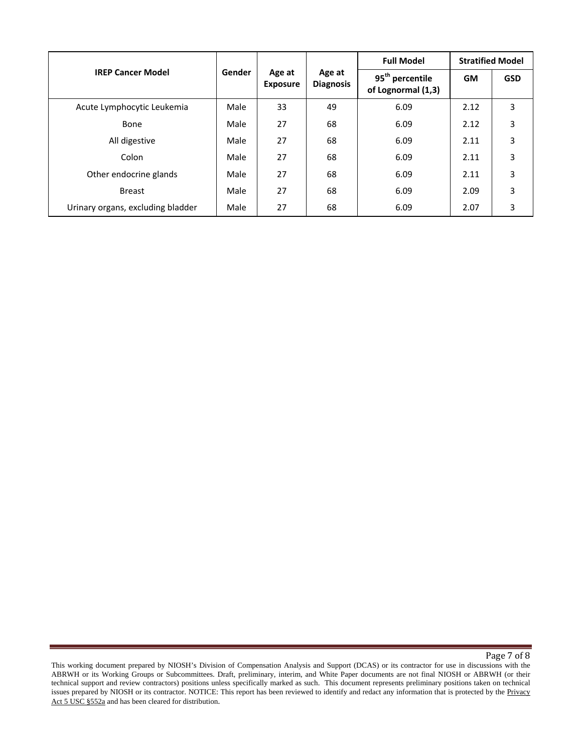| <b>IREP Cancer Model</b>          | Gender | Age at<br><b>Exposure</b> | Age at<br><b>Diagnosis</b> | <b>Full Model</b>                                 | <b>Stratified Model</b> |            |
|-----------------------------------|--------|---------------------------|----------------------------|---------------------------------------------------|-------------------------|------------|
|                                   |        |                           |                            | 95 <sup>th</sup> percentile<br>of Lognormal (1,3) | <b>GM</b>               | <b>GSD</b> |
| Acute Lymphocytic Leukemia        | Male   | 33                        | 49                         | 6.09                                              | 2.12                    | 3          |
| Bone                              | Male   | 27                        | 68                         | 6.09                                              | 2.12                    | 3          |
| All digestive                     | Male   | 27                        | 68                         | 6.09                                              | 2.11                    | 3          |
| Colon                             | Male   | 27                        | 68                         | 6.09                                              | 2.11                    | 3          |
| Other endocrine glands            | Male   | 27                        | 68                         | 6.09                                              | 2.11                    | 3          |
| <b>Breast</b>                     | Male   | 27                        | 68                         | 6.09                                              | 2.09                    | 3          |
| Urinary organs, excluding bladder | Male   | 27                        | 68                         | 6.09                                              | 2.07                    | 3          |

Page 7 of 8

issues prepared by NIOSH or its contractor. NOTICE: This report has been reviewed to identify and redact any information that is protected by the Privacy Act  $5 \overline{ \text{USC} }$  §552a and has been cleared for distribution. This working document prepared by NIOSH's Division of Compensation Analysis and Support (DCAS) or its contractor for use in discussions with the ABRWH or its Working Groups or Subcommittees. Draft, preliminary, interim, and White Paper documents are not final NIOSH or ABRWH (or their technical support and review contractors) positions unless specifically marked as such. This document represents preliminary positions taken on technical